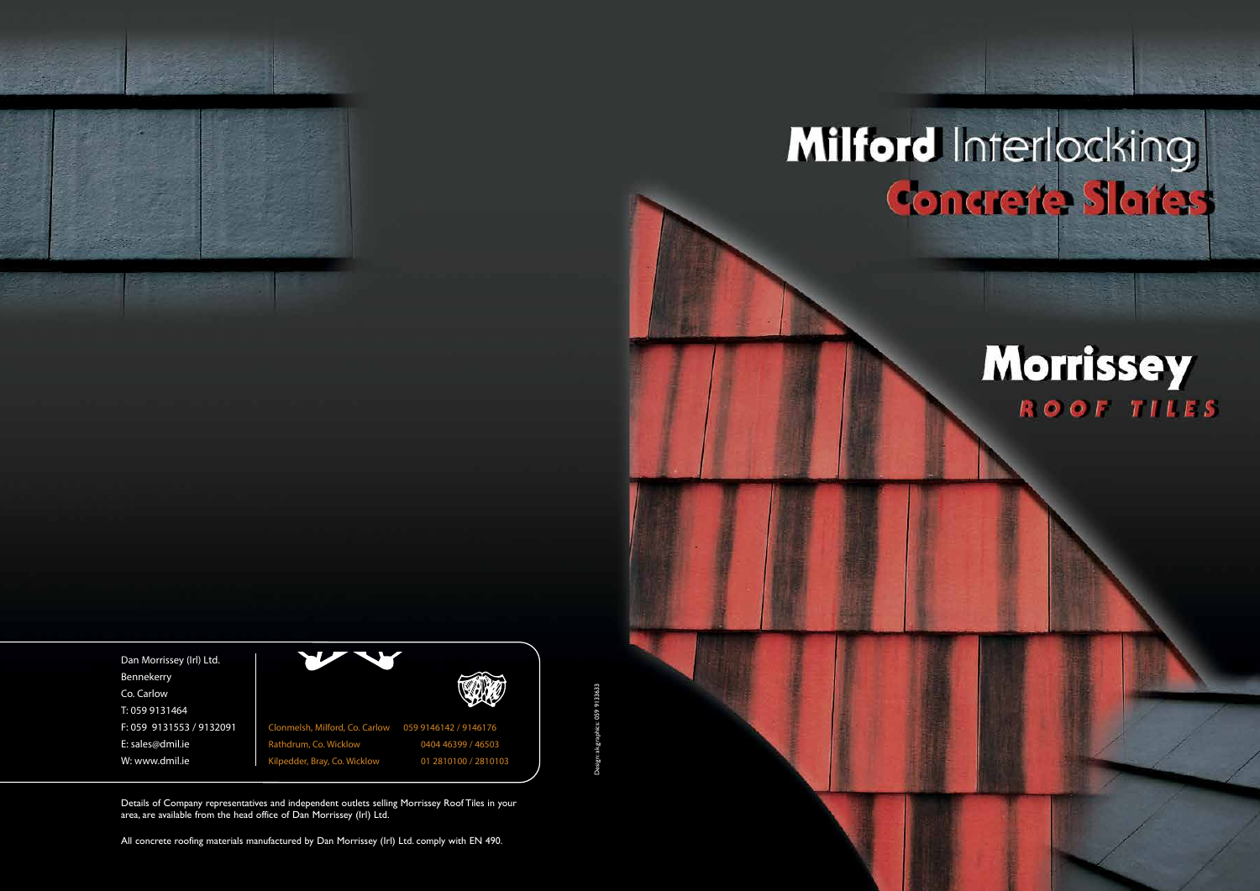

All concrete roofing materials manufactured by Dan Morrissey (Irl) Ltd. comply with EN 490.

ak.graphics: 059 9133633 Design: ak.graphics: 059 9133633

# Milford Interlocking

## **Morrissey** ROOF TILES

Details of Company representatives and independent outlets selling Morrissey Roof Tiles in your area, are available from the head office of Dan Morrissey (Irl) Ltd.